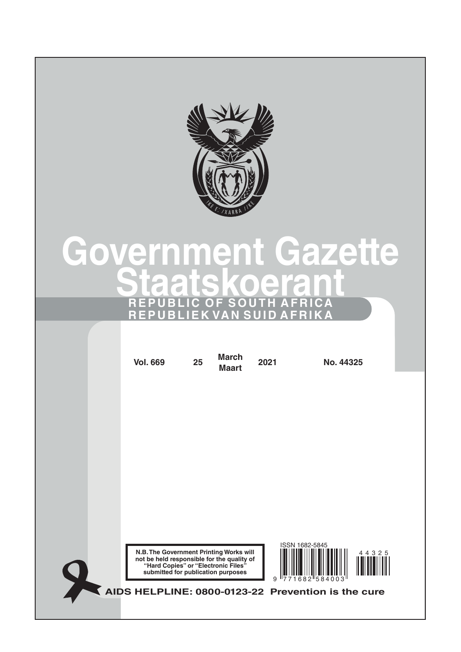

# **Government Gazette Staatskoerant REPUBLIC OF SOUTH AFRICA REPUBLIEK VAN SUID AFRIKA**

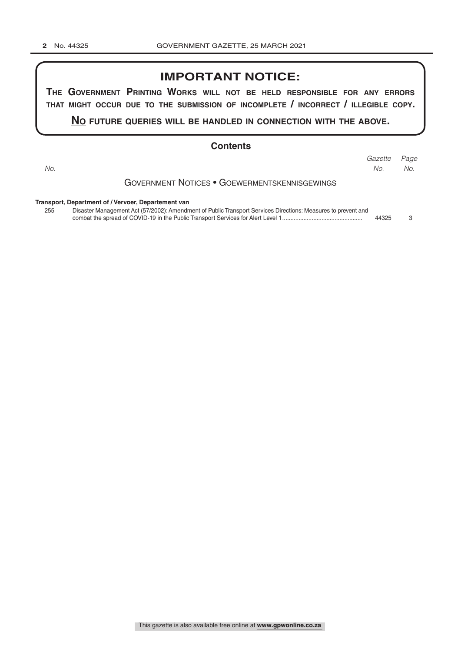## **IMPORTANT NOTICE:**

**The GovernmenT PrinTinG Works Will noT be held resPonsible for any errors ThaT miGhT occur due To The submission of incomPleTe / incorrecT / illeGible coPy.**

### **no fuTure queries Will be handled in connecTion WiTh The above.**

### **Contents**

| a.<br>۰, |  |
|----------|--|

*Page Gazette No. No. No.*

### Government [Notices • Goewermentskennisgewings](#page-2-0)

#### **[Transport, Department of / Vervoer, Departement van](#page-2-0)**

| 255 | Disaster Management Act (57/2002): Amendment of Public Transport Services Directions: Measures to prevent and |       |  |
|-----|---------------------------------------------------------------------------------------------------------------|-------|--|
|     | combat the spread of COVID-19 in the Public Transport Services for Alert Level 1                              | 44325 |  |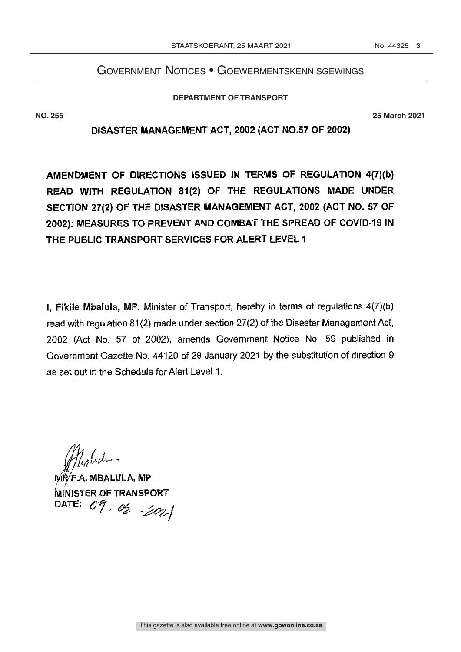## GOVERNMENT NOTICES • GOEWERMENTSKENNISGEWINGS

## <span id="page-2-0"></span>**DEPARTMENT OF TRANSPORT**

**NO. 255 25 March 2021**

## DISASTER MANAGEMENT ACT, 2002 (ACT NO.57 OF 2002)

AMENDMENT OF DIRECTIONS ISSUED IN TERMS OF REGULATION 4(7)(b) READ WITH REGULATION 81(2) OF THE REGULATIONS MADE UNDER SECTION 27(2) OF THE DISASTER MANAGEMENT ACT, 2002 (ACT NO. 57 OF 2002): MEASURES TO PREVENT AND COMBAT THE SPREAD OF COVID-19 IN THE PUBLIC TRANSPORT SERVICES FOR ALERT LEVEL 1

I, Fikile Mbalula, MP, Minister of Transport, hereby in terms of regulations 4(7)(b) read with regulation 81(2) made under section 27(2) of the Disaster Management Act, 2002 (Act No. 57 of 2002), amends Government Notice No. 59 published in Government Gazette No. 44120 of 29 January 2021 by the substitution of direction <sup>9</sup> as set out in the Schedule for Alert Level 1.

 $\mathcal{A}$ 

MRF.A. MBALULA, MP MINISTER OF TRANSPORT<br>DATE: 09  $09.02 - 202$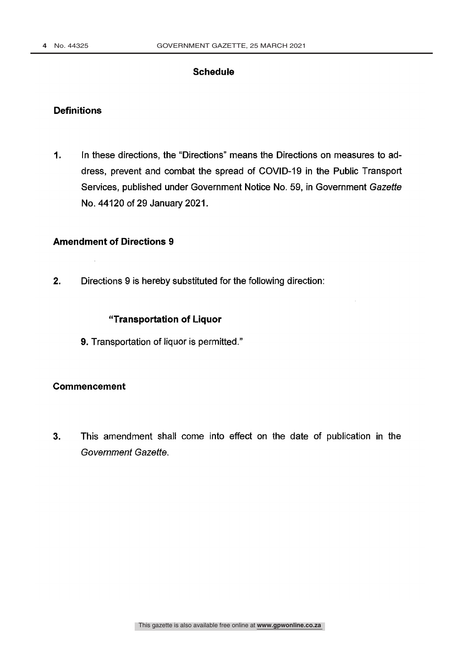### **Schedule**

### **Definitions**

1. In these directions, the "Directions" means the Directions on measures to address, prevent and combat the spread of COVID -19 in the Public Transport Services, published under Government Notice No. 59, in Government Gazette No. 44120 of 29 January 2021.

### Amendment of Directions 9

2. Directions 9 is hereby substituted for the following direction:

## "Transportation of Liquor

9. Transportation of liquor is permitted."

### Commencement

3. This amendment shall come into effect on the date of publication in the Government Gazette.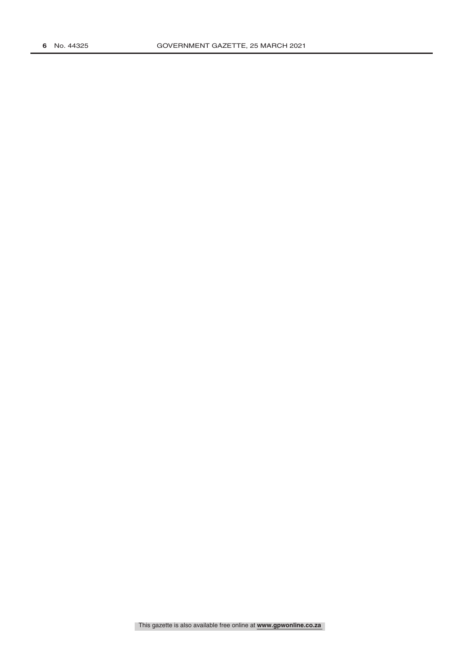This gazette is also available free online at **www.gpwonline.co.za**